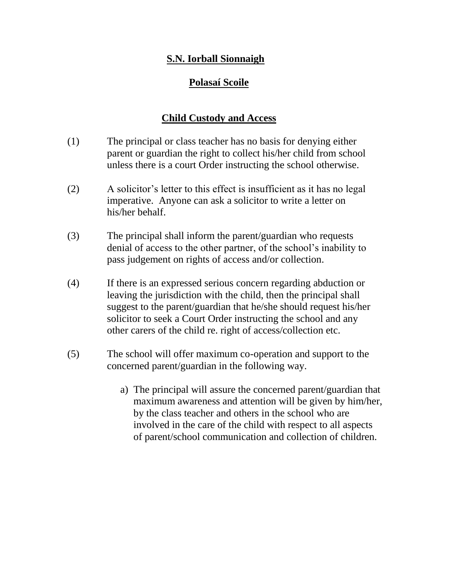## **S.N. Iorball Sionnaigh**

## **Polasaí Scoile**

## **Child Custody and Access**

- (1) The principal or class teacher has no basis for denying either parent or guardian the right to collect his/her child from school unless there is a court Order instructing the school otherwise.
- (2) A solicitor's letter to this effect is insufficient as it has no legal imperative. Anyone can ask a solicitor to write a letter on his/her behalf.
- (3) The principal shall inform the parent/guardian who requests denial of access to the other partner, of the school's inability to pass judgement on rights of access and/or collection.
- (4) If there is an expressed serious concern regarding abduction or leaving the jurisdiction with the child, then the principal shall suggest to the parent/guardian that he/she should request his/her solicitor to seek a Court Order instructing the school and any other carers of the child re. right of access/collection etc.
- (5) The school will offer maximum co-operation and support to the concerned parent/guardian in the following way.
	- a) The principal will assure the concerned parent/guardian that maximum awareness and attention will be given by him/her, by the class teacher and others in the school who are involved in the care of the child with respect to all aspects of parent/school communication and collection of children.